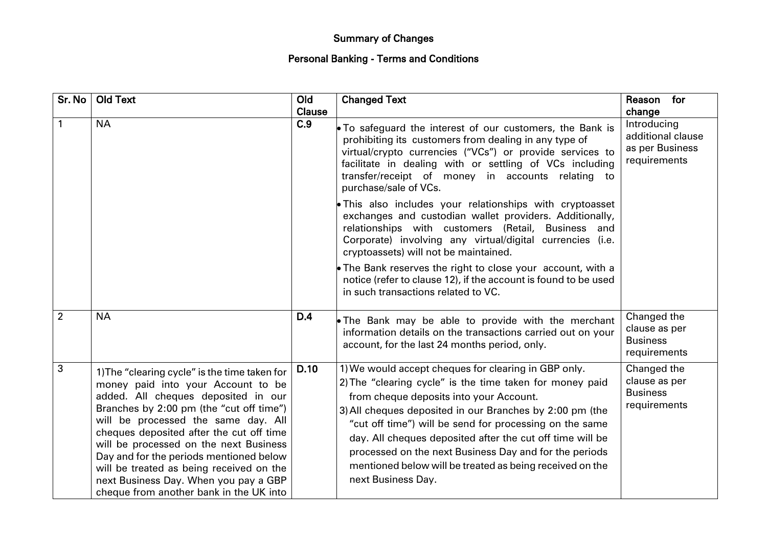## Summary of Changes

## Personal Banking - Terms and Conditions

| Sr. No         | <b>Old Text</b>                                                                                                                                                                                                                                                                                                                                                                                                                                                                | Old           | <b>Changed Text</b>                                                                                                                                                                                                                                                                                                                                                                                                                                                                         | Reason for                                                          |
|----------------|--------------------------------------------------------------------------------------------------------------------------------------------------------------------------------------------------------------------------------------------------------------------------------------------------------------------------------------------------------------------------------------------------------------------------------------------------------------------------------|---------------|---------------------------------------------------------------------------------------------------------------------------------------------------------------------------------------------------------------------------------------------------------------------------------------------------------------------------------------------------------------------------------------------------------------------------------------------------------------------------------------------|---------------------------------------------------------------------|
|                |                                                                                                                                                                                                                                                                                                                                                                                                                                                                                | <b>Clause</b> |                                                                                                                                                                                                                                                                                                                                                                                                                                                                                             | change                                                              |
|                | <b>NA</b>                                                                                                                                                                                                                                                                                                                                                                                                                                                                      | C.9           | • To safeguard the interest of our customers, the Bank is<br>prohibiting its customers from dealing in any type of<br>virtual/crypto currencies ("VCs") or provide services to<br>facilitate in dealing with or settling of VCs including<br>transfer/receipt of money in accounts relating to<br>purchase/sale of VCs.                                                                                                                                                                     | Introducing<br>additional clause<br>as per Business<br>requirements |
|                |                                                                                                                                                                                                                                                                                                                                                                                                                                                                                |               | • This also includes your relationships with cryptoasset<br>exchanges and custodian wallet providers. Additionally,<br>relationships with customers (Retail, Business and<br>Corporate) involving any virtual/digital currencies (i.e.<br>cryptoassets) will not be maintained.                                                                                                                                                                                                             |                                                                     |
|                |                                                                                                                                                                                                                                                                                                                                                                                                                                                                                |               | $\bullet$ The Bank reserves the right to close your account, with a<br>notice (refer to clause 12), if the account is found to be used<br>in such transactions related to VC.                                                                                                                                                                                                                                                                                                               |                                                                     |
| $\overline{2}$ | <b>NA</b>                                                                                                                                                                                                                                                                                                                                                                                                                                                                      | D.4           | • The Bank may be able to provide with the merchant<br>information details on the transactions carried out on your<br>account, for the last 24 months period, only.                                                                                                                                                                                                                                                                                                                         | Changed the<br>clause as per<br><b>Business</b><br>requirements     |
| 3              | 1) The "clearing cycle" is the time taken for<br>money paid into your Account to be<br>added. All cheques deposited in our<br>Branches by 2:00 pm (the "cut off time")<br>will be processed the same day. All<br>cheques deposited after the cut off time<br>will be processed on the next Business<br>Day and for the periods mentioned below<br>will be treated as being received on the<br>next Business Day. When you pay a GBP<br>cheque from another bank in the UK into | <b>D.10</b>   | 1) We would accept cheques for clearing in GBP only.<br>2) The "clearing cycle" is the time taken for money paid<br>from cheque deposits into your Account.<br>3) All cheques deposited in our Branches by 2:00 pm (the<br>"cut off time") will be send for processing on the same<br>day. All cheques deposited after the cut off time will be<br>processed on the next Business Day and for the periods<br>mentioned below will be treated as being received on the<br>next Business Day. | Changed the<br>clause as per<br><b>Business</b><br>requirements     |